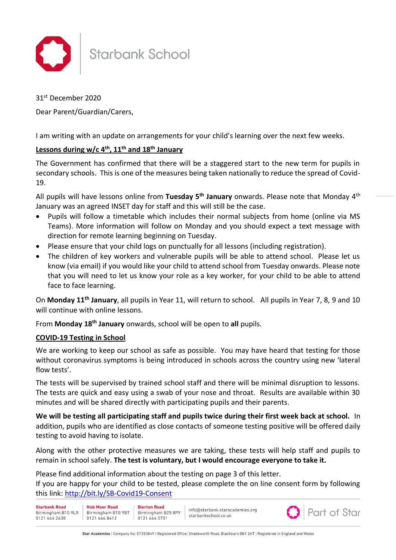

# **Starbank School**

31st December 2020

## Dear Parent/Guardian/Carers,

I am writing with an update on arrangements for your child's learning over the next few weeks.

## **Lessons during w/c 4th, 11th and 18th January**

The Government has confirmed that there will be a staggered start to the new term for pupils in secondary schools. This is one of the measures being taken nationally to reduce the spread of Covid-19.

All pupils will have lessons online from **Tuesday 5th January** onwards. Please note that Monday 4th January was an agreed INSET day for staff and this will still be the case.

- Pupils will follow a timetable which includes their normal subjects from home (online via MS Teams). More information will follow on Monday and you should expect a text message with direction for remote learning beginning on Tuesday.
- Please ensure that your child logs on punctually for all lessons (including registration).
- The children of key workers and vulnerable pupils will be able to attend school. Please let us know (via email) if you would like your child to attend school from Tuesday onwards. Please note that you will need to let us know your role as a key worker, for your child to be able to attend face to face learning.

On **Monday 11th January**, all pupils in Year 11, will return to school. All pupils in Year 7, 8, 9 and 10 will continue with online lessons.

From **Monday 18th January** onwards, school will be open to **all** pupils.

## **COVID-19 Testing in School**

We are working to keep our school as safe as possible. You may have heard that testing for those without coronavirus symptoms is being introduced in schools across the country using new 'lateral flow tests'.

The tests will be supervised by trained school staff and there will be minimal disruption to lessons. The tests are quick and easy using a swab of your nose and throat. Results are available within 30 minutes and will be shared directly with participating pupils and their parents.

**We will be testing all participating staff and pupils twice during their first week back at school.** In addition, pupils who are identified as close contacts of someone testing positive will be offered daily testing to avoid having to isolate.

Along with the other protective measures we are taking, these tests will help staff and pupils to remain in school safely. **The test is voluntary, but I would encourage everyone to take it.** 

Please find additional information about the testing on page 3 of this letter.

If you are happy for your child to be tested, please complete the on line consent form by following this link:<http://bit.ly/SB-Covid19-Consent>

| <b>Starbank Road</b><br>0121 464 2638 | <b>Hob Moor Road</b><br>Birmingham B10 9LR   Birmingham B10 9BT   Birmingham B25 8PY<br>0121 464 8412 | <b>Bierton Road</b><br>101214640751 | info@starbank.staracademies.org<br>starbankschool.co.uk |  | <b>O</b> Part of Star |
|---------------------------------------|-------------------------------------------------------------------------------------------------------|-------------------------------------|---------------------------------------------------------|--|-----------------------|
|---------------------------------------|-------------------------------------------------------------------------------------------------------|-------------------------------------|---------------------------------------------------------|--|-----------------------|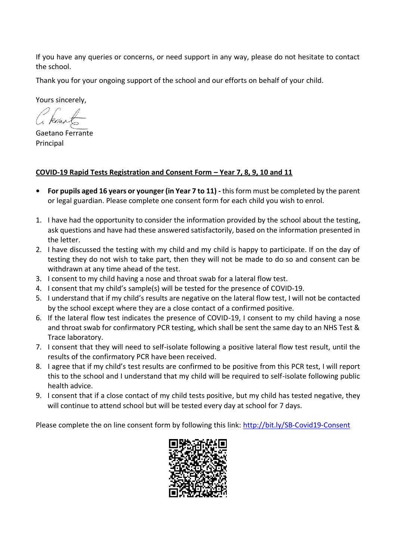If you have any queries or concerns, or need support in any way, please do not hesitate to contact the school.

Thank you for your ongoing support of the school and our efforts on behalf of your child.

Yours sincerely,

Gaetano Ferrante Principal

# **COVID-19 Rapid Tests Registration and Consent Form – Year 7, 8, 9, 10 and 11**

- **• For pupils aged 16 years or younger (in Year 7 to 11) -** this form must be completed by the parent or legal guardian. Please complete one consent form for each child you wish to enrol.
- 1. I have had the opportunity to consider the information provided by the school about the testing, ask questions and have had these answered satisfactorily, based on the information presented in the letter.
- 2. I have discussed the testing with my child and my child is happy to participate. If on the day of testing they do not wish to take part, then they will not be made to do so and consent can be withdrawn at any time ahead of the test.
- 3. I consent to my child having a nose and throat swab for a lateral flow test.
- 4. I consent that my child's sample(s) will be tested for the presence of COVID-19.
- 5. I understand that if my child's results are negative on the lateral flow test, I will not be contacted by the school except where they are a close contact of a confirmed positive.
- 6. If the lateral flow test indicates the presence of COVID-19, I consent to my child having a nose and throat swab for confirmatory PCR testing, which shall be sent the same day to an NHS Test & Trace laboratory.
- 7. I consent that they will need to self-isolate following a positive lateral flow test result, until the results of the confirmatory PCR have been received.
- 8. I agree that if my child's test results are confirmed to be positive from this PCR test, I will report this to the school and I understand that my child will be required to self-isolate following public health advice.
- 9. I consent that if a close contact of my child tests positive, but my child has tested negative, they will continue to attend school but will be tested every day at school for 7 days.

Please complete the on line consent form by following this link:<http://bit.ly/SB-Covid19-Consent>

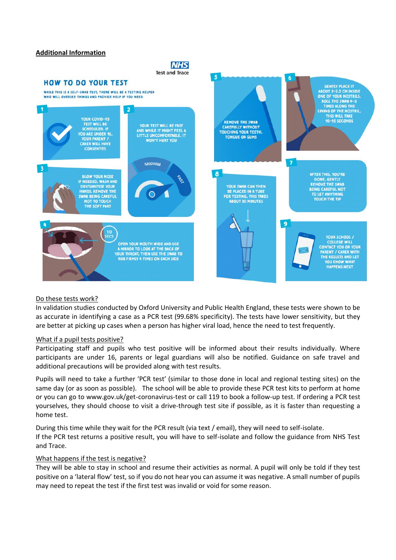#### **Additional Information**

### **NHS Test and Trace**





### Do these tests work?

In validation studies conducted by Oxford University and Public Health England, these tests were shown to be as accurate in identifying a case as a PCR test (99.68% specificity). The tests have lower sensitivity, but they are better at picking up cases when a person has higher viral load, hence the need to test frequently.

#### What if a pupil tests positive?

Participating staff and pupils who test positive will be informed about their results individually. Where participants are under 16, parents or legal guardians will also be notified. Guidance on safe travel and additional precautions will be provided along with test results.

Pupils will need to take a further 'PCR test' (similar to those done in local and regional testing sites) on the same day (or as soon as possible). The school will be able to provide these PCR test kits to perform at home or you can go to www.gov.uk/get-coronavirus-test or call 119 to book a follow-up test. If ordering a PCR test yourselves, they should choose to visit a drive-through test site if possible, as it is faster than requesting a home test.

During this time while they wait for the PCR result (via text / email), they will need to self-isolate. If the PCR test returns a positive result, you will have to self-isolate and follow the guidance from NHS Test and Trace.

### What happens if the test is negative?

They will be able to stay in school and resume their activities as normal. A pupil will only be told if they test positive on a 'lateral flow' test, so if you do not hear you can assume it was negative. A small number of pupils may need to repeat the test if the first test was invalid or void for some reason.